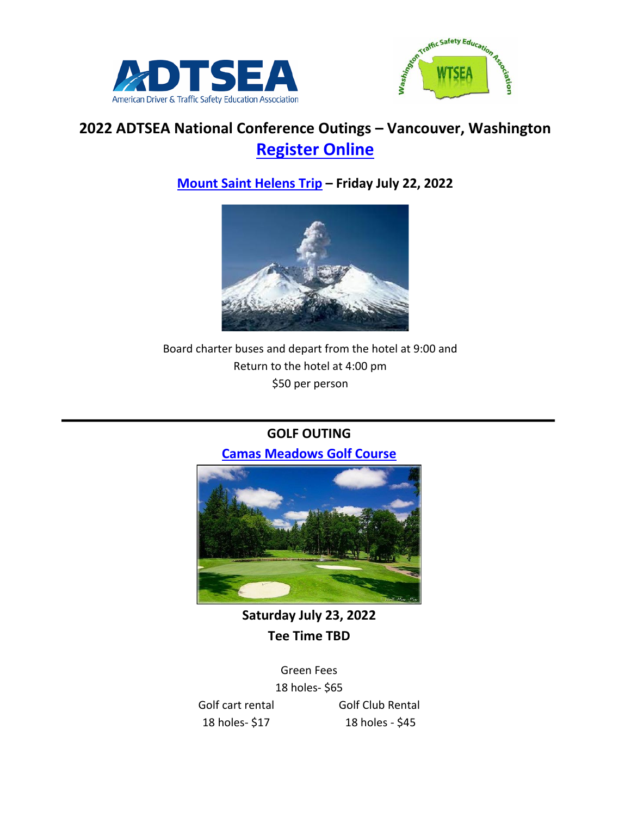



# **2022 ADTSEA National Conference Outings – Vancouver, Washington [Register Online](https://www.adtsea.org/conference-registration.phtml)**

## **[Mount Saint Helens Trip](https://www.parks.wa.gov/245/Mount-St-Helens) – Friday July 22, 2022**



Board charter buses and depart from the hotel at 9:00 and Return to the hotel at 4:00 pm \$50 per person

## **GOLF OUTING**

**[Camas Meadows Golf Course](https://www.camasmeadows.com/)**



**Saturday July 23, 2022 Tee Time TBD**

Green Fees 18 holes- \$65 Golf cart rental Golf Club Rental 18 holes- \$17 18 holes - \$45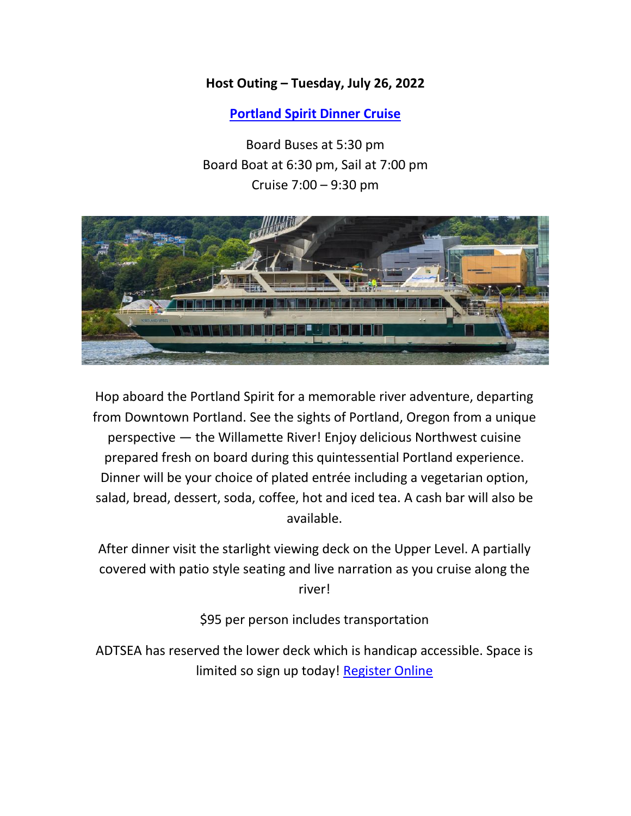#### **Host Outing – Tuesday, July 26, 2022**

**[Portland Spirit Dinner Cruise](https://www.portlandspirit.com/)**

Board Buses at 5:30 pm Board Boat at 6:30 pm, Sail at 7:00 pm Cruise 7:00 – 9:30 pm



Hop aboard the Portland Spirit for a memorable river adventure, departing from Downtown Portland. See the sights of Portland, Oregon from a unique perspective — the Willamette River! Enjoy delicious Northwest cuisine prepared fresh on board during this quintessential Portland experience. Dinner will be your choice of plated entrée including a vegetarian option, salad, bread, dessert, soda, coffee, hot and iced tea. A cash bar will also be available.

After dinner visit the starlight viewing deck on the Upper Level. A partially covered with patio style seating and live narration as you cruise along the river!

\$95 per person includes transportation

ADTSEA has reserved the lower deck which is handicap accessible. Space is limited so sign up today! [Register Online](https://www.adtsea.org/conference-registration.phtml)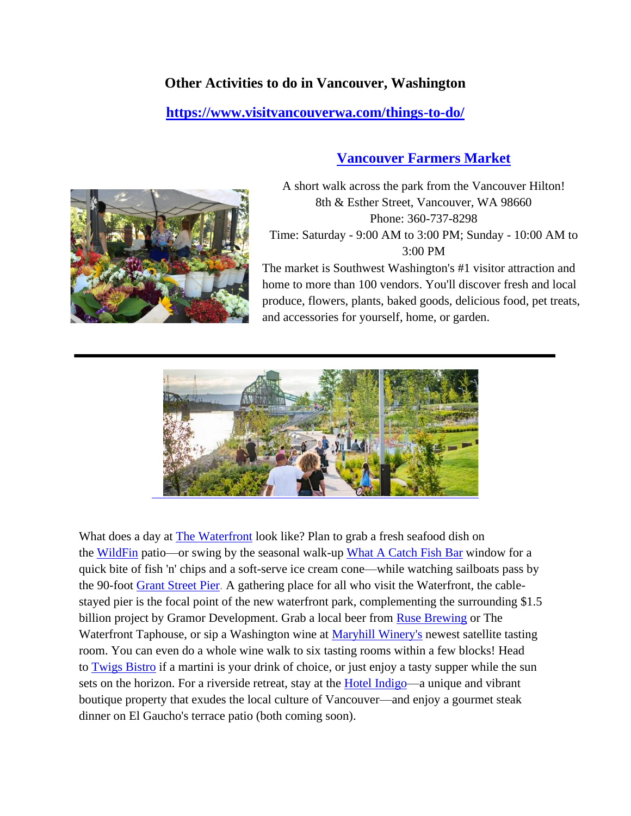## **Other Activities to do in Vancouver, Washington**

#### **<https://www.visitvancouverwa.com/things-to-do/>**

#### **[Vancouver Farmers Market](https://www.vancouverfarmersmarket.com/)**



A short walk across the park from the Vancouver Hilton! 8th & Esther Street, Vancouver, WA 98660 Phone: 360-737-8298 Time: Saturday - 9:00 AM to 3:00 PM; Sunday - 10:00 AM to 3:00 PM

The market is Southwest Washington's #1 visitor attraction and home to more than 100 vendors. You'll discover fresh and local produce, flowers, plants, baked goods, delicious food, pet treats, and accessories for yourself, home, or garden.



What does a day at The [Waterfront](http://thewaterfrontvancouverusa.com/) look like? Plan to grab a fresh seafood dish on the [WildFin](http://www.wildfinamericangrill.com/) patio—or swing by the seasonal walk-up What A [Catch](https://www.visitvancouverwa.com/listing/what-a-catch-fishbar/3064/) Fish Bar window for a quick bite of fish 'n' chips and a soft-serve ice cream cone—while watching sailboats pass by the 90-foot Grant [Street](https://www.visitvancouverwa.com/listing/grant-street-pier/2989/) Pier. A gathering place for all who visit the Waterfront, the cablestayed pier is the focal point of the new waterfront park, complementing the surrounding \$1.5 billion project by Gramor Development. Grab a local beer from Ruse [Brewing](https://www.visitvancouverwa.com/listing/ruse-brewing%e2%80%99s-crust-collective-coming-soon/3201/) or The Waterfront Taphouse, or sip a Washington wine at Maryhill [Winery's](https://www.visitvancouverwa.com/listing/maryhill-winery/3005/) newest satellite tasting room. You can even do a whole wine walk to six tasting rooms within a few blocks! Head to [Twigs](http://twigsbistro.com/) Bistro if a martini is your drink of choice, or just enjoy a tasty supper while the sun sets on the horizon. For a riverside retreat, stay at the **Hotel Indigo**—a unique and vibrant boutique property that exudes the local culture of Vancouver—and enjoy a gourmet steak dinner on El Gaucho's terrace patio (both coming soon).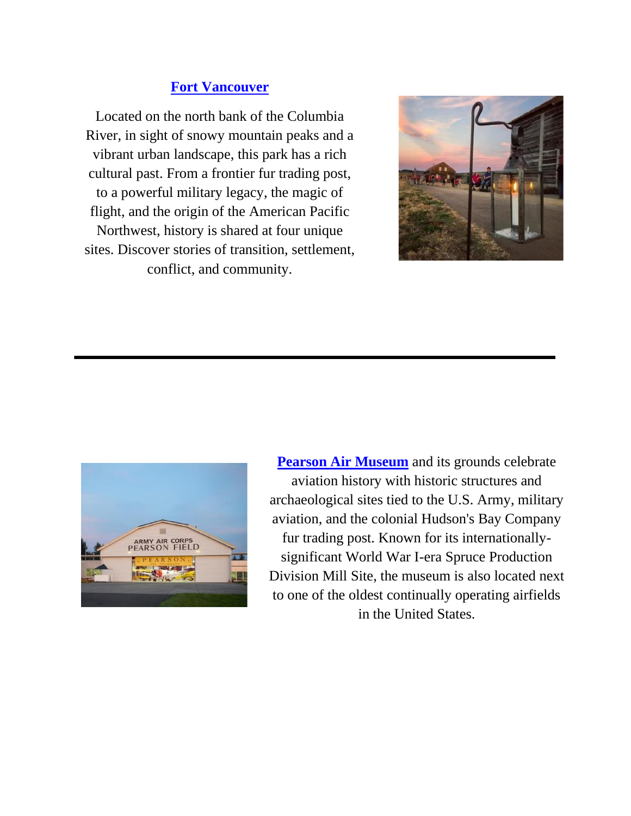# **[Fort Vancouver](https://www.nps.gov/fova/index.htm)**

Located on the north bank of the Columbia River, in sight of snowy mountain peaks and a vibrant urban landscape, this park has a rich cultural past. From a frontier fur trading post, to a powerful military legacy, the magic of flight, and the origin of the American Pacific Northwest, history is shared at four unique sites. Discover stories of transition, settlement, conflict, and community.





**[Pearson Air Museum](https://www.nps.gov/fova/learn/historyculture/pearson.htm)** and its grounds celebrate aviation history with historic structures and archaeological sites tied to the U.S. Army, military aviation, and the colonial Hudson's Bay Company fur trading post. Known for its internationallysignificant World War I-era Spruce Production Division Mill Site, the museum is also located next to one of the oldest continually operating airfields in the United States.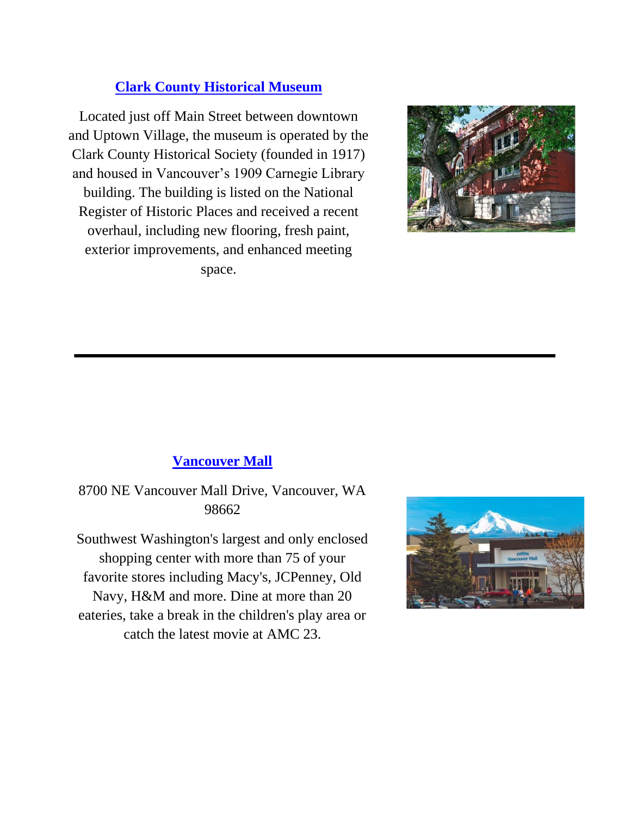# **[Clark County Historical Museum](https://cchmuseum.org/)**

Located just off Main Street between downtown and Uptown Village, the museum is operated by the Clark County Historical Society (founded in 1917) and housed in Vancouver's 1909 Carnegie Library building. The building is listed on the National Register of Historic Places and received a recent overhaul, including new flooring, fresh paint, exterior improvements, and enhanced meeting space.



# **[Vancouver Mall](https://www.shopvancouvermall.com/)**

8700 NE Vancouver Mall Drive, Vancouver, WA 98662

Southwest Washington's largest and only enclosed shopping center with more than 75 of your favorite stores including Macy's, JCPenney, Old Navy, H&M and more. Dine at more than 20 eateries, take a break in the children's play area or catch the latest movie at AMC 23.

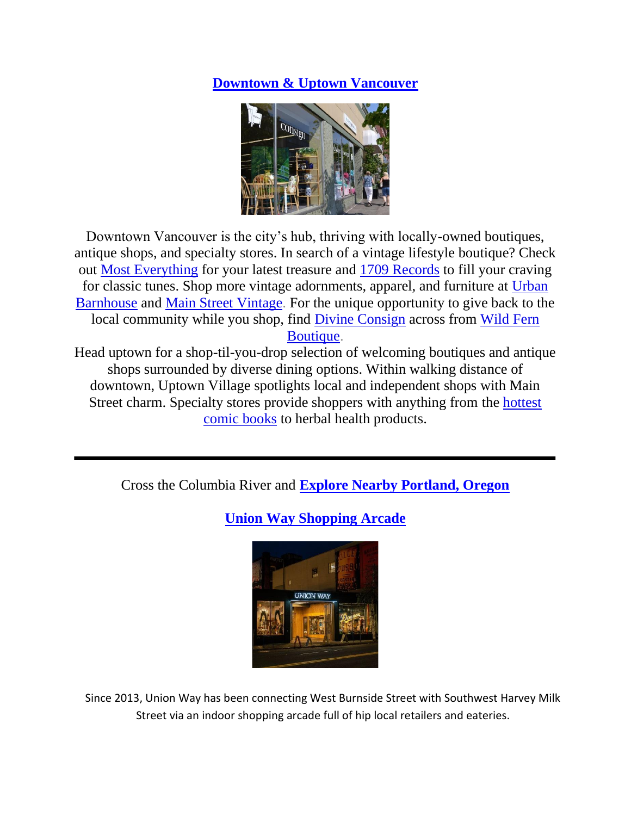## **[Downtown & Uptown Vancouver](https://www.visitvancouverwa.com/things-to-do/shopping/downtown-vancouver/)**



Downtown Vancouver is the city's hub, thriving with locally-owned boutiques, antique shops, and specialty stores. In search of a vintage lifestyle boutique? Check out Most [Everything](https://www.visitvancouverwa.com/listing/most-everything/2460/) for your latest treasure and 1709 [Records](https://www.visitvancouverwa.com/listing/1709-records/2878/) to fill your craving for classic tunes. Shop more vintage adornments, apparel, and furniture at [Urban](https://www.visitvancouverwa.com/listing/urban-barnhouse-vintage-furniture-%26-garden/2777/) [Barnhouse](https://www.visitvancouverwa.com/listing/urban-barnhouse-vintage-furniture-%26-garden/2777/) and Main Street [Vintage.](https://www.visitvancouverwa.com/listing/main-street-vintage/2576/) For the unique opportunity to give back to the local community while you shop, find Divine [Consign](https://www.visitvancouverwa.com/listing/divine-consign-furniture/2492/) across from [Wild](https://www.visitvancouverwa.com/listing/wild-fern-boutique/2865/) Fern [Boutique.](https://www.visitvancouverwa.com/listing/wild-fern-boutique/2865/)

Head uptown for a shop-til-you-drop selection of welcoming boutiques and antique shops surrounded by diverse dining options. Within walking distance of downtown, Uptown Village spotlights local and independent shops with Main Street charm. Specialty stores provide shoppers with anything from the [hottest](https://www.visitvancouverwa.com/listing/i-like-comics/2800/) [comic](https://www.visitvancouverwa.com/listing/i-like-comics/2800/) books to herbal health products.

Cross the Columbia River and **[Explore Nearby Portland, Oregon](https://www.travelportland.com/)**



**[Union Way Shopping Arcade](https://www.travelportland.com/attractions/union-way-shopping-arcade/)**

Since 2013, Union Way has been connecting West Burnside Street with Southwest Harvey Milk Street via an indoor shopping arcade full of hip local retailers and eateries.